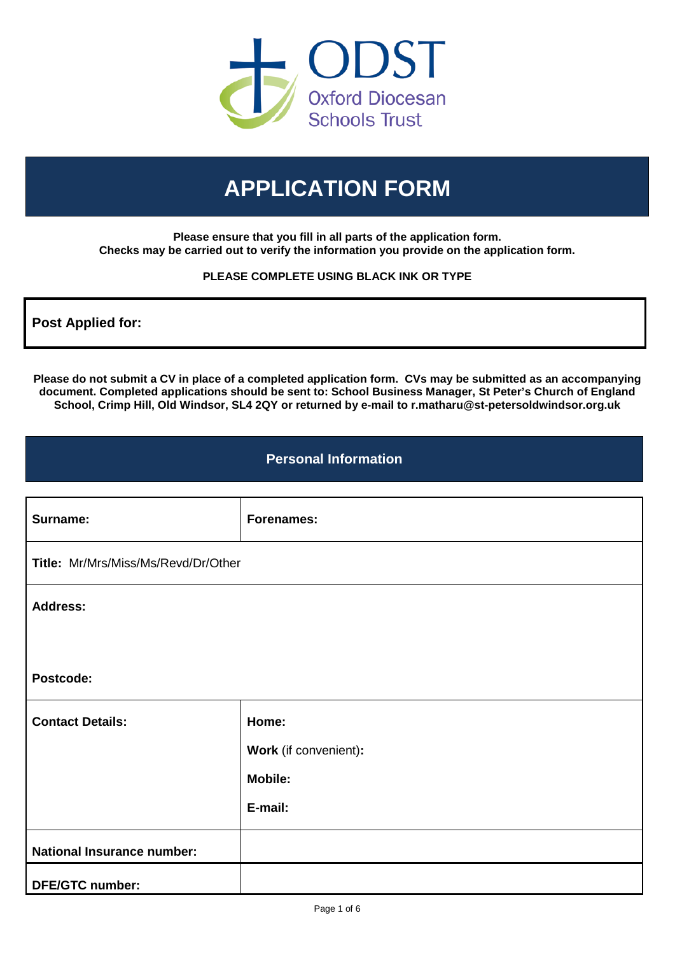

# **APPLICATION FORM**

**Please ensure that you fill in all parts of the application form. Checks may be carried out to verify the information you provide on the application form.**

#### **PLEASE COMPLETE USING BLACK INK OR TYPE**

**Post Applied for:**

**Please do not submit a CV in place of a completed application form. CVs may be submitted as an accompanying document. Completed applications should be sent to: School Business Manager, St Peter's Church of England School, Crimp Hill, Old Windsor, SL4 2QY or returned by e-mail to r.matharu@st-petersoldwindsor.org.uk**

### **Personal Information**

| Surname:                            | <b>Forenames:</b>     |  |  |  |  |
|-------------------------------------|-----------------------|--|--|--|--|
| Title: Mr/Mrs/Miss/Ms/Revd/Dr/Other |                       |  |  |  |  |
| <b>Address:</b>                     |                       |  |  |  |  |
|                                     |                       |  |  |  |  |
| Postcode:                           |                       |  |  |  |  |
| <b>Contact Details:</b>             | Home:                 |  |  |  |  |
|                                     | Work (if convenient): |  |  |  |  |
|                                     | <b>Mobile:</b>        |  |  |  |  |
|                                     | E-mail:               |  |  |  |  |
| <b>National Insurance number:</b>   |                       |  |  |  |  |
| <b>DFE/GTC number:</b>              |                       |  |  |  |  |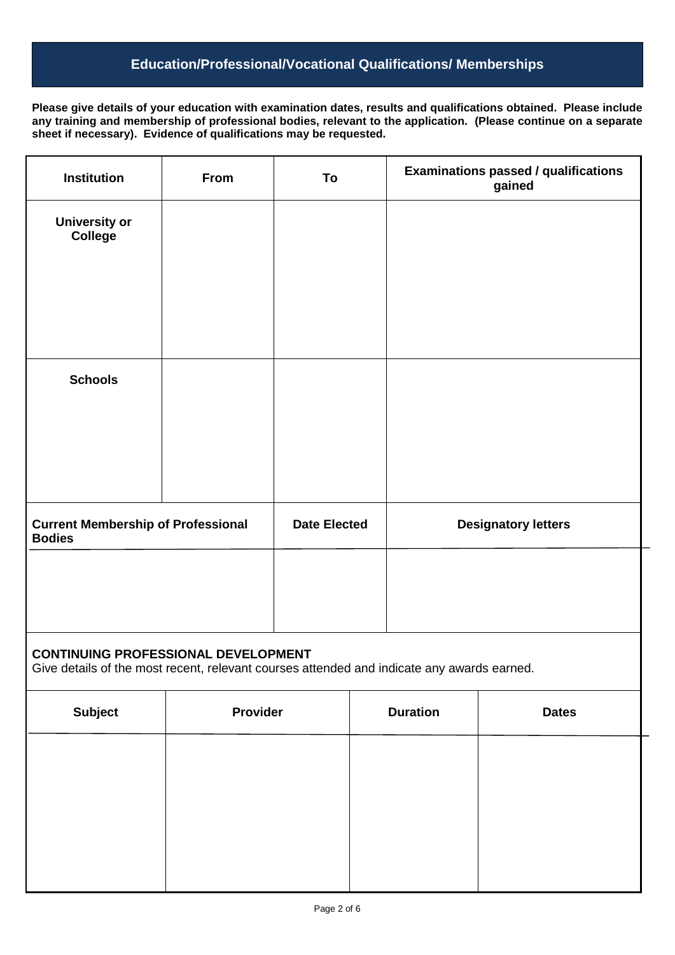# **Education/Professional/Vocational Qualifications/ Memberships**

**Please give details of your education with examination dates, results and qualifications obtained. Please include any training and membership of professional bodies, relevant to the application. (Please continue on a separate sheet if necessary). Evidence of qualifications may be requested.**

| <b>Institution</b>                                                                                                                       | From     | To                  |  | <b>Examinations passed / qualifications</b><br>gained |  |  |
|------------------------------------------------------------------------------------------------------------------------------------------|----------|---------------------|--|-------------------------------------------------------|--|--|
| <b>University or</b><br><b>College</b>                                                                                                   |          |                     |  |                                                       |  |  |
|                                                                                                                                          |          |                     |  |                                                       |  |  |
| <b>Schools</b>                                                                                                                           |          |                     |  |                                                       |  |  |
|                                                                                                                                          |          |                     |  |                                                       |  |  |
|                                                                                                                                          |          |                     |  |                                                       |  |  |
| <b>Current Membership of Professional</b><br><b>Bodies</b>                                                                               |          | <b>Date Elected</b> |  | <b>Designatory letters</b>                            |  |  |
|                                                                                                                                          |          |                     |  |                                                       |  |  |
| <b>CONTINUING PROFESSIONAL DEVELOPMENT</b><br>Give details of the most recent, relevant courses attended and indicate any awards earned. |          |                     |  |                                                       |  |  |
| <b>Subject</b>                                                                                                                           | Provider |                     |  | <b>Duration</b><br><b>Dates</b>                       |  |  |

| <b>Subject</b> | <b>Provider</b> | <b>Duration</b> | <b>Dates</b> |  |
|----------------|-----------------|-----------------|--------------|--|
|                |                 |                 |              |  |
|                |                 |                 |              |  |
|                |                 |                 |              |  |
|                |                 |                 |              |  |
|                |                 |                 |              |  |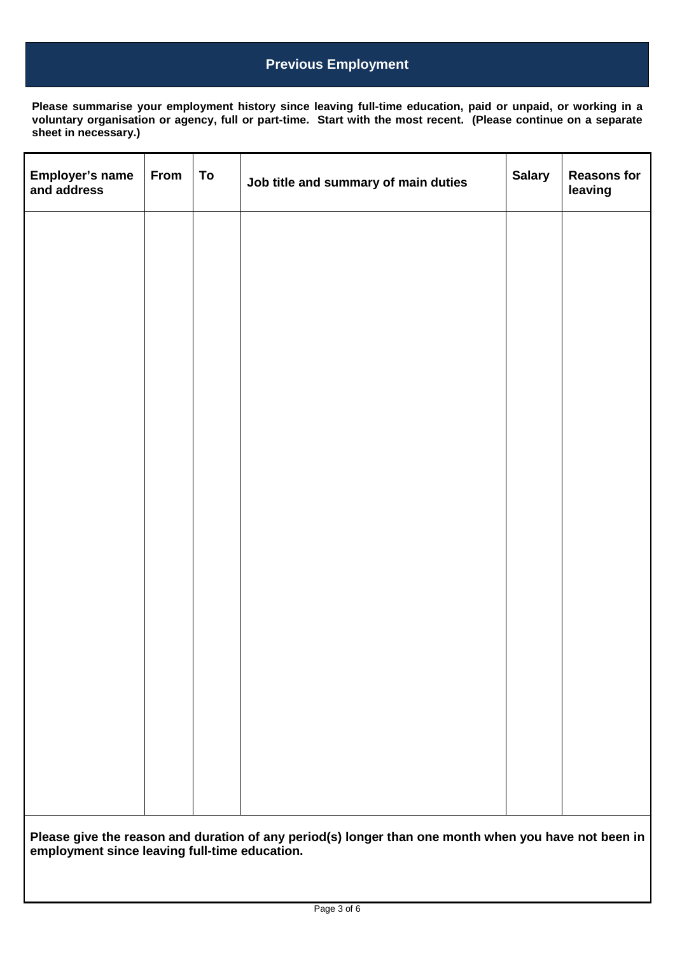# **Previous Employment**

**Please summarise your employment history since leaving full-time education, paid or unpaid, or working in a voluntary organisation or agency, full or part-time. Start with the most recent. (Please continue on a separate sheet in necessary.)**

| Employer's name<br>and address | From                                                                                                                                               | To | Job title and summary of main duties | <b>Salary</b> | <b>Reasons for</b><br>leaving |
|--------------------------------|----------------------------------------------------------------------------------------------------------------------------------------------------|----|--------------------------------------|---------------|-------------------------------|
|                                |                                                                                                                                                    |    |                                      |               |                               |
|                                |                                                                                                                                                    |    |                                      |               |                               |
|                                |                                                                                                                                                    |    |                                      |               |                               |
|                                |                                                                                                                                                    |    |                                      |               |                               |
|                                |                                                                                                                                                    |    |                                      |               |                               |
|                                |                                                                                                                                                    |    |                                      |               |                               |
|                                |                                                                                                                                                    |    |                                      |               |                               |
|                                |                                                                                                                                                    |    |                                      |               |                               |
|                                |                                                                                                                                                    |    |                                      |               |                               |
|                                |                                                                                                                                                    |    |                                      |               |                               |
|                                |                                                                                                                                                    |    |                                      |               |                               |
|                                |                                                                                                                                                    |    |                                      |               |                               |
|                                |                                                                                                                                                    |    |                                      |               |                               |
|                                | Please give the reason and duration of any period(s) longer than one month when you have not been in employment since leaving full-time education. |    |                                      |               |                               |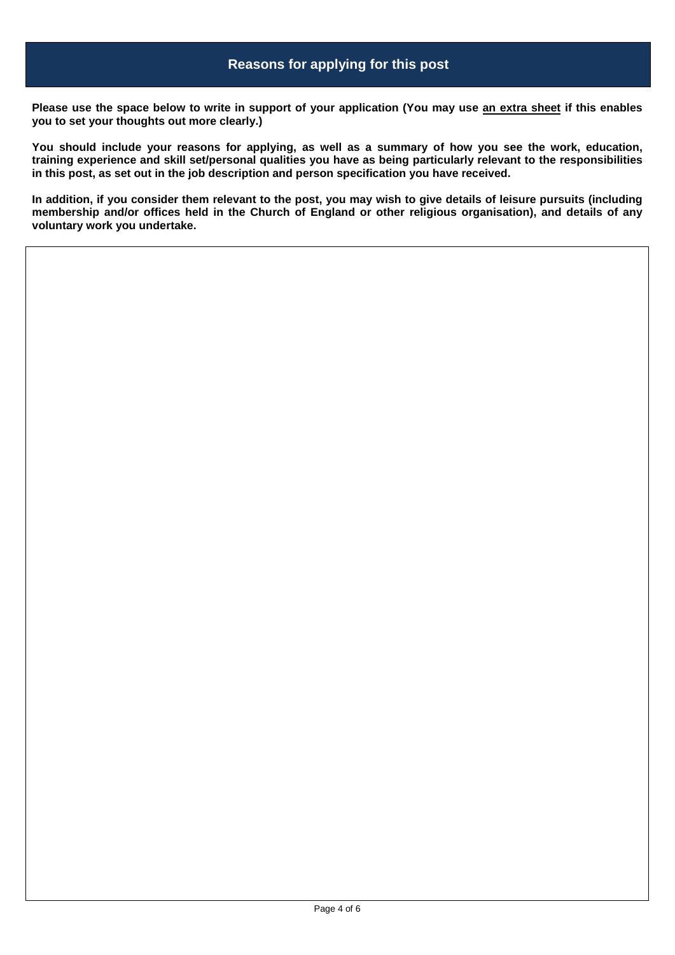**Please use the space below to write in support of your application (You may use an extra sheet if this enables you to set your thoughts out more clearly.)**

**You should include your reasons for applying, as well as a summary of how you see the work, education, training experience and skill set/personal qualities you have as being particularly relevant to the responsibilities in this post, as set out in the job description and person specification you have received.**

**In addition, if you consider them relevant to the post, you may wish to give details of leisure pursuits (including membership and/or offices held in the Church of England or other religious organisation), and details of any voluntary work you undertake.**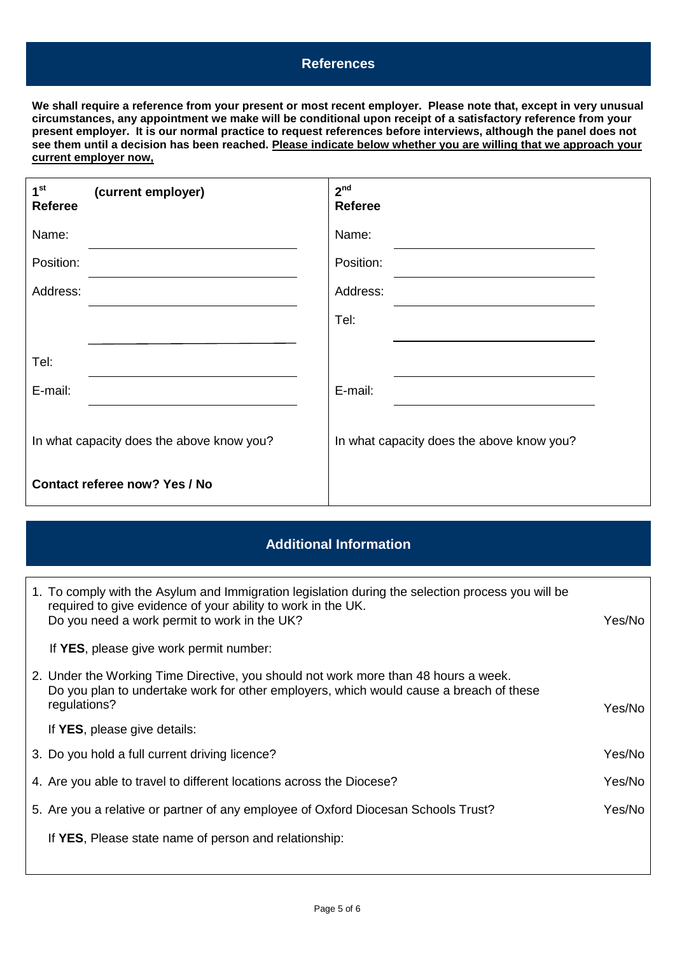#### **References**

**We shall require a reference from your present or most recent employer. Please note that, except in very unusual circumstances, any appointment we make will be conditional upon receipt of a satisfactory reference from your present employer. It is our normal practice to request references before interviews, although the panel does not see them until a decision has been reached. Please indicate below whether you are willing that we approach your current employer now,** 

| 1 <sup>st</sup><br>(current employer)<br><b>Referee</b> | 2 <sup>nd</sup><br><b>Referee</b>         |
|---------------------------------------------------------|-------------------------------------------|
| Name:                                                   | Name:                                     |
| Position:                                               | Position:                                 |
| Address:                                                | Address:                                  |
|                                                         | Tel:                                      |
| Tel:                                                    |                                           |
| E-mail:                                                 | E-mail:                                   |
| In what capacity does the above know you?               | In what capacity does the above know you? |
| Contact referee now? Yes / No                           |                                           |

## **Additional Information**

| 1. To comply with the Asylum and Immigration legislation during the selection process you will be<br>required to give evidence of your ability to work in the UK.<br>Do you need a work permit to work in the UK? | Yes/No |
|-------------------------------------------------------------------------------------------------------------------------------------------------------------------------------------------------------------------|--------|
| If YES, please give work permit number:                                                                                                                                                                           |        |
| 2. Under the Working Time Directive, you should not work more than 48 hours a week.<br>Do you plan to undertake work for other employers, which would cause a breach of these<br>regulations?                     | Yes/No |
| If YES, please give details:                                                                                                                                                                                      |        |
| 3. Do you hold a full current driving licence?                                                                                                                                                                    | Yes/No |
| 4. Are you able to travel to different locations across the Diocese?                                                                                                                                              | Yes/No |
| 5. Are you a relative or partner of any employee of Oxford Diocesan Schools Trust?                                                                                                                                | Yes/No |
| If YES, Please state name of person and relationship:                                                                                                                                                             |        |
|                                                                                                                                                                                                                   |        |